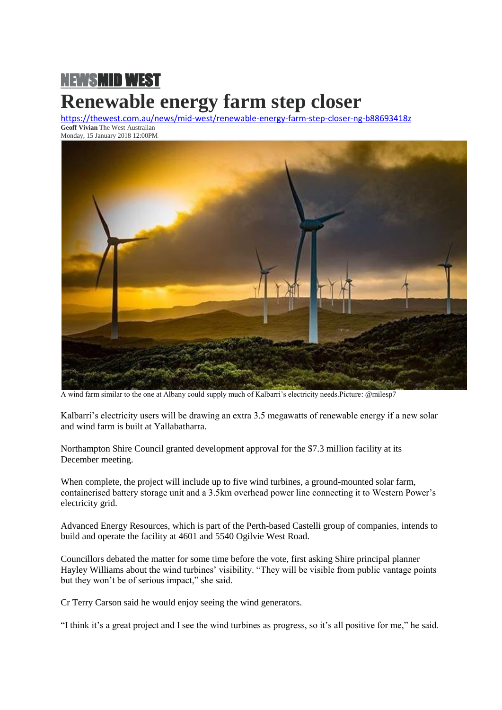## [NEWSMID WEST](https://thewest.com.au/news) **Renewable energy farm step closer**

<https://thewest.com.au/news/mid-west/renewable-energy-farm-step-closer-ng-b88693418z> **Geoff Vivian** The West Australian Monday, 15 January 2018 12:00PM



A wind farm similar to the one at Albany could supply much of Kalbarri's electricity needs.Picture: @milesp7

Kalbarri's electricity users will be drawing an extra 3.5 megawatts of renewable energy if a new solar and wind farm is built at Yallabatharra.

Northampton Shire Council granted development approval for the \$7.3 million facility at its December meeting.

When complete, the project will include up to five wind turbines, a ground-mounted solar farm, containerised battery storage unit and a 3.5km overhead power line connecting it to Western Power's electricity grid.

Advanced Energy Resources, which is part of the Perth-based Castelli group of companies, intends to build and operate the facility at 4601 and 5540 Ogilvie West Road.

Councillors debated the matter for some time before the vote, first asking Shire principal planner Hayley Williams about the wind turbines' visibility. "They will be visible from public vantage points but they won't be of serious impact," she said.

Cr Terry Carson said he would enjoy seeing the wind generators.

"I think it's a great project and I see the wind turbines as progress, so it's all positive for me," he said.